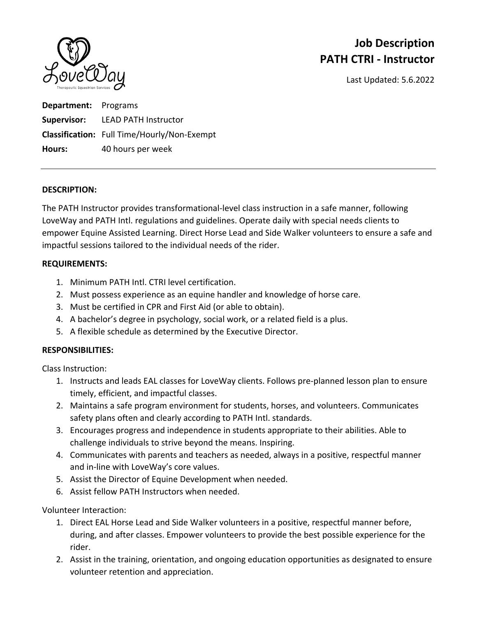

# **Job Description PATH CTRI ‐ Instructor**

Last Updated: 5.6.2022

**Department:** Programs **Supervisor:** LEAD PATH Instructor **Classification:** Full Time/Hourly/Non‐Exempt **Hours:** 40 hours per week

### **DESCRIPTION:**

The PATH Instructor provides transformational‐level class instruction in a safe manner, following LoveWay and PATH Intl. regulations and guidelines. Operate daily with special needs clients to empower Equine Assisted Learning. Direct Horse Lead and Side Walker volunteers to ensure a safe and impactful sessions tailored to the individual needs of the rider.

### **REQUIREMENTS:**

- 1. Minimum PATH Intl. CTRI level certification.
- 2. Must possess experience as an equine handler and knowledge of horse care.
- 3. Must be certified in CPR and First Aid (or able to obtain).
- 4. A bachelor's degree in psychology, social work, or a related field is a plus.
- 5. A flexible schedule as determined by the Executive Director.

### **RESPONSIBILITIES:**

Class Instruction:

- 1. Instructs and leads EAL classes for LoveWay clients. Follows pre‐planned lesson plan to ensure timely, efficient, and impactful classes.
- 2. Maintains a safe program environment for students, horses, and volunteers. Communicates safety plans often and clearly according to PATH Intl. standards.
- 3. Encourages progress and independence in students appropriate to their abilities. Able to challenge individuals to strive beyond the means. Inspiring.
- 4. Communicates with parents and teachers as needed, always in a positive, respectful manner and in‐line with LoveWay's core values.
- 5. Assist the Director of Equine Development when needed.
- 6. Assist fellow PATH Instructors when needed.

### Volunteer Interaction:

- 1. Direct EAL Horse Lead and Side Walker volunteers in a positive, respectful manner before, during, and after classes. Empower volunteers to provide the best possible experience for the rider.
- 2. Assist in the training, orientation, and ongoing education opportunities as designated to ensure volunteer retention and appreciation.